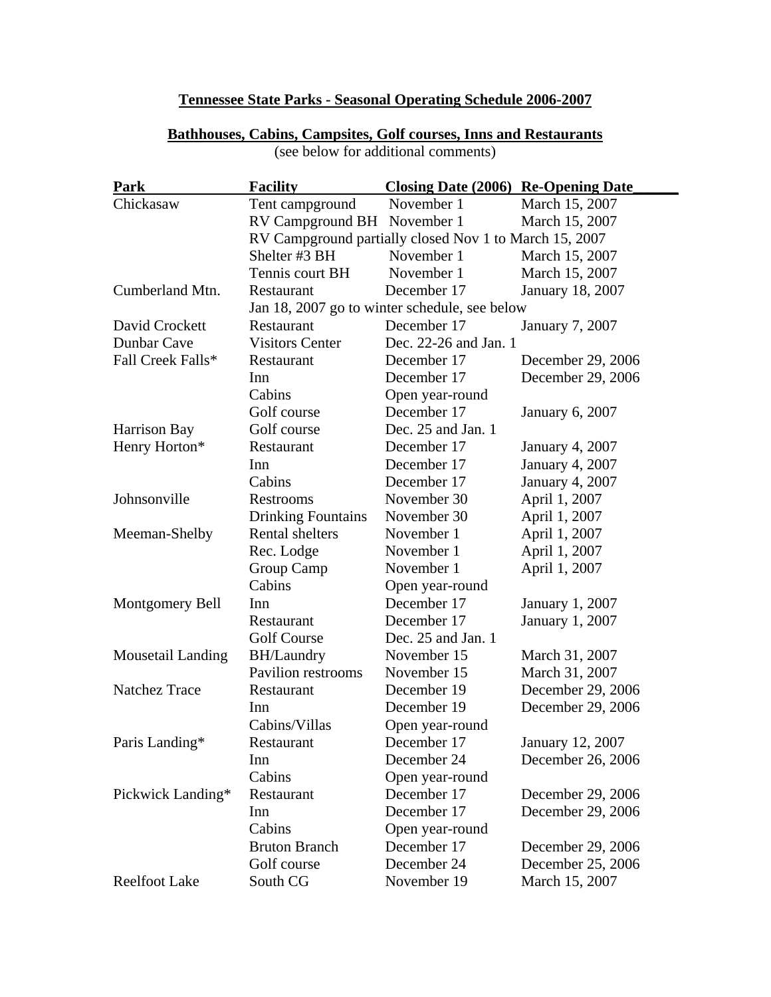## **Tennessee State Parks - Seasonal Operating Schedule 2006-2007**

| Park                     | <b>Facility</b>                                        | <b>Closing Date (2006) Re-Opening Date</b>    |                        |  |
|--------------------------|--------------------------------------------------------|-----------------------------------------------|------------------------|--|
| Chickasaw                | Tent campground                                        | November 1                                    | March 15, 2007         |  |
|                          | RV Campground BH November 1                            |                                               | March 15, 2007         |  |
|                          | RV Campground partially closed Nov 1 to March 15, 2007 |                                               |                        |  |
|                          | Shelter #3 BH                                          | November 1                                    | March 15, 2007         |  |
|                          | Tennis court BH                                        | November 1                                    | March 15, 2007         |  |
| Cumberland Mtn.          | Restaurant                                             | December 17                                   | January 18, 2007       |  |
|                          |                                                        | Jan 18, 2007 go to winter schedule, see below |                        |  |
| David Crockett           | Restaurant                                             | December 17<br>January 7, 2007                |                        |  |
| Dunbar Cave              | <b>Visitors Center</b>                                 | Dec. 22-26 and Jan. 1                         |                        |  |
| Fall Creek Falls*        | Restaurant                                             | December 17                                   | December 29, 2006      |  |
|                          | Inn                                                    | December 17                                   | December 29, 2006      |  |
|                          | Cabins                                                 | Open year-round                               |                        |  |
|                          | Golf course                                            | December 17                                   | <b>January 6, 2007</b> |  |
| Harrison Bay             | Golf course                                            | Dec. 25 and Jan. 1                            |                        |  |
| Henry Horton*            | Restaurant                                             | December 17                                   | <b>January 4, 2007</b> |  |
|                          | Inn                                                    | December 17                                   | January 4, 2007        |  |
|                          | Cabins                                                 | December 17                                   | January 4, 2007        |  |
| Johnsonville             | Restrooms                                              | November 30                                   | April 1, 2007          |  |
|                          | <b>Drinking Fountains</b>                              | November 30                                   | April 1, 2007          |  |
| Meeman-Shelby            | <b>Rental shelters</b>                                 | November 1                                    | April 1, 2007          |  |
|                          | Rec. Lodge                                             | November 1                                    | April 1, 2007          |  |
|                          | Group Camp                                             | November 1                                    | April 1, 2007          |  |
|                          | Cabins                                                 | Open year-round                               |                        |  |
| <b>Montgomery Bell</b>   | Inn                                                    | December 17                                   | January 1, 2007        |  |
|                          | Restaurant                                             | December 17                                   | January 1, 2007        |  |
|                          | <b>Golf Course</b>                                     | Dec. 25 and Jan. 1                            |                        |  |
| <b>Mousetail Landing</b> | <b>BH/Laundry</b>                                      | November 15                                   | March 31, 2007         |  |
|                          | <b>Pavilion restrooms</b>                              | November 15                                   | March 31, 2007         |  |
| <b>Natchez Trace</b>     | Restaurant                                             | December 19                                   | December 29, 2006      |  |
|                          | Inn                                                    | December 19                                   | December 29, 2006      |  |
|                          | Cabins/Villas                                          | Open year-round                               |                        |  |
| Paris Landing*           | Restaurant                                             | December 17                                   | January 12, 2007       |  |
|                          | Inn                                                    | December 24                                   | December 26, 2006      |  |
|                          | Cabins                                                 | Open year-round                               |                        |  |
| Pickwick Landing*        | Restaurant                                             | December 17                                   | December 29, 2006      |  |
|                          | Inn                                                    | December 17                                   | December 29, 2006      |  |
|                          | Cabins                                                 | Open year-round                               |                        |  |
|                          | <b>Bruton Branch</b>                                   | December 17                                   | December 29, 2006      |  |
|                          | Golf course                                            | December 24                                   | December 25, 2006      |  |
| <b>Reelfoot Lake</b>     | South CG                                               | November 19                                   | March 15, 2007         |  |

## **Bathhouses, Cabins, Campsites, Golf courses, Inns and Restaurants**  (see below for additional comments)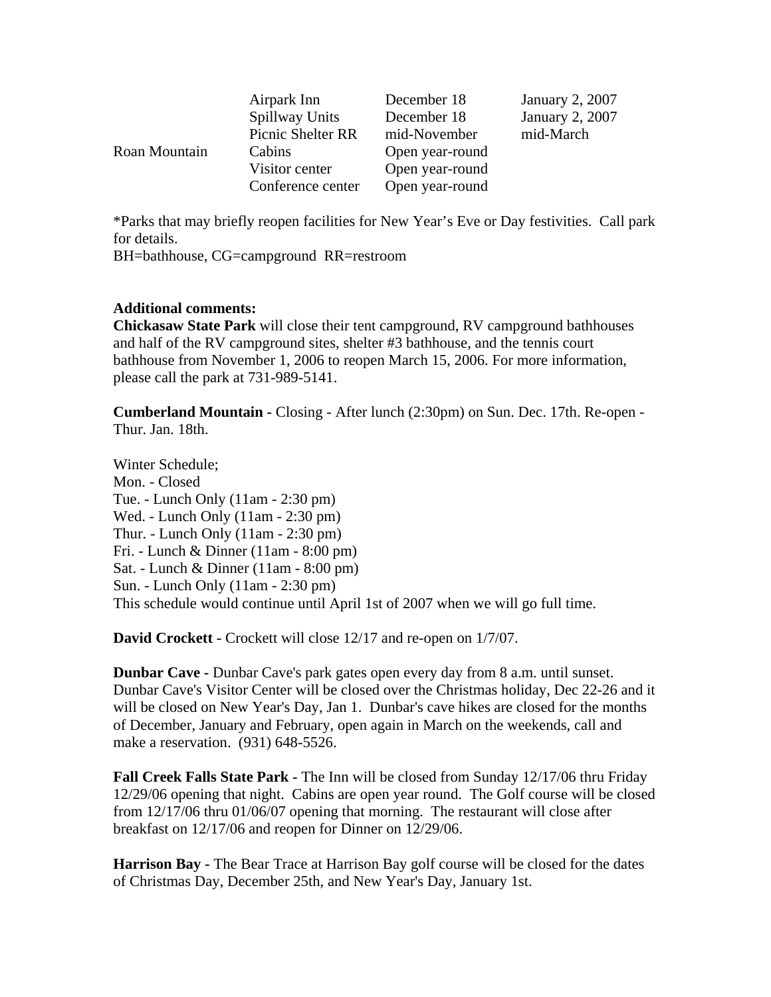|               | Airpark Inn       | December 18     | <b>January 2, 2007</b> |
|---------------|-------------------|-----------------|------------------------|
|               | Spillway Units    | December 18     | January 2, 2007        |
|               | Picnic Shelter RR | mid-November    | mid-March              |
| Roan Mountain | Cabins            | Open year-round |                        |
|               | Visitor center    | Open year-round |                        |
|               | Conference center | Open year-round |                        |

\*Parks that may briefly reopen facilities for New Year's Eve or Day festivities. Call park for details.

BH=bathhouse, CG=campground RR=restroom

## **Additional comments:**

**Chickasaw State Park** will close their tent campground, RV campground bathhouses and half of the RV campground sites, shelter #3 bathhouse, and the tennis court bathhouse from November 1, 2006 to reopen March 15, 2006. For more information, please call the park at 731-989-5141.

**Cumberland Mountain -** Closing - After lunch (2:30pm) on Sun. Dec. 17th. Re-open - Thur. Jan. 18th.

Winter Schedule; Mon. - Closed Tue. - Lunch Only (11am - 2:30 pm) Wed. - Lunch Only (11am - 2:30 pm) Thur. - Lunch Only (11am - 2:30 pm) Fri. - Lunch & Dinner (11am - 8:00 pm) Sat. - Lunch & Dinner (11am - 8:00 pm) Sun. - Lunch Only (11am - 2:30 pm) This schedule would continue until April 1st of 2007 when we will go full time.

**David Crockett - Crockett will close 12/17 and re-open on 1/7/07.** 

**Dunbar Cave -** Dunbar Cave's park gates open every day from 8 a.m. until sunset. Dunbar Cave's Visitor Center will be closed over the Christmas holiday, Dec 22-26 and it will be closed on New Year's Day, Jan 1. Dunbar's cave hikes are closed for the months of December, January and February, open again in March on the weekends, call and make a reservation. (931) 648-5526.

**Fall Creek Falls State Park - The Inn will be closed from Sunday 12/17/06 thru Friday** 12/29/06 opening that night. Cabins are open year round. The Golf course will be closed from 12/17/06 thru 01/06/07 opening that morning. The restaurant will close after breakfast on 12/17/06 and reopen for Dinner on 12/29/06.

**Harrison Bay -** The Bear Trace at Harrison Bay golf course will be closed for the dates of Christmas Day, December 25th, and New Year's Day, January 1st.